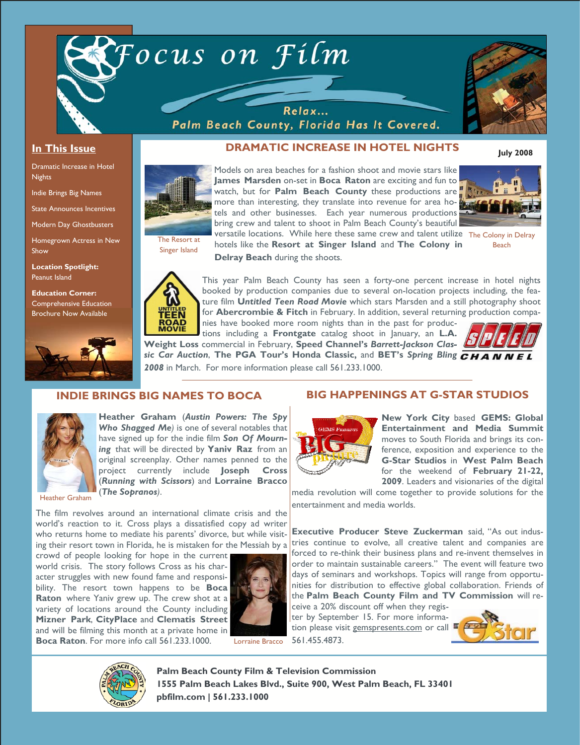

Relax... Palm Beach County, Florida Has It Covered.



## **In This Issue**

Dramatic Increase in Hotel **Nights** 

Indie Brings Big Names

State Announces Incentives

Modern Day Ghostbusters

Homegrown Actress in New Show

**Location Spotlight:**  Peanut Island

**Education Corner:**  Comprehensive Education Brochure Now Available



## **DRAMATIC INCREASE IN HOTEL NIGHTS**

**July 2008** 



Models on area beaches for a fashion shoot and movie stars like **James Marsden** on-set in **Boca Raton** are exciting and fun to watch, but for **Palm Beach County** these productions are more than interesting, they translate into revenue for area hotels and other businesses. Each year numerous productions bring crew and talent to shoot in Palm Beach County's beautiful



versatile locations. While here these same crew and talent utilize The Colony in Delray Beach

Singer Island

hotels like the **Resort at Singer Island** and **The Colony in Delray Beach** during the shoots.



This year Palm Beach County has seen a forty-one percent increase in hotel nights booked by production companies due to several on-location projects including, the feature film **U***ntitled Teen Road Movie* which stars Marsden and a still photography shoot for **Abercrombie & Fitch** in February. In addition, several returning production compa-

nies have booked more room nights than in the past for productions including a **Frontgate** catalog shoot in January, an **L.A. Weight Loss** commercial in February, **Speed Channel's** *Barrett-Jackson Classic Car Auction*, **The PGA Tour's Honda Classic,** and **BET's** *Spring Bling 2008* in March. For more information please call 561.233.1000.



## **INDIE BRINGS BIG NAMES TO BOCA**



**Heather Graham** (*Austin Powers: The Spy Who Shagged Me)* is one of several notables that have signed up for the indie film *Son Of Mourning* that will be directed by **Yaniv Raz** from an original screenplay. Other names penned to the project currently include **Joseph Cross**  (*Running with Scissors*) and **Lorraine Bracco**  (*The Sopranos)*.

Heather Graham

The film revolves around an international climate crisis and the world's reaction to it. Cross plays a dissatisfied copy ad writer who returns home to mediate his parents' divorce, but while visiting their resort town in Florida, he is mistaken for the Messiah by a

crowd of people looking for hope in the current world crisis. The story follows Cross as his character struggles with new found fame and responsibility. The resort town happens to be **Boca Raton** where Yaniv grew up. The crew shot at a variety of locations around the County including **Mizner Park**, **CityPlace** and **Clematis Street**  and will be filming this month at a private home in **Boca Raton**. For more info call 561.233.1000.



Lorraine Bracco

# **BIG HAPPENINGS AT G-STAR STUDIOS**



**New York City** based **GEMS: Global Entertainment and Media Summit**  moves to South Florida and brings its conference, exposition and experience to the **G-Star Studios** in **West Palm Beach**  for the weekend of **February 21-22, 2009**. Leaders and visionaries of the digital

media revolution will come together to provide solutions for the entertainment and media worlds.

**Executive Producer Steve Zuckerman** said, "As out industries continue to evolve, all creative talent and companies are forced to re-think their business plans and re-invent themselves in order to maintain sustainable careers." The event will feature two days of seminars and workshops. Topics will range from opportunities for distribution to effective global collaboration. Friends of the **Palm Beach County Film and TV Commission** will re-

ceive a 20% discount off when they register by September 15. For more information please visit gemspresents.com or call 561.455.4873.





**Palm Beach County Film & Television Commission 1555 Palm Beach Lakes Blvd., Suite 900, West Palm Beach, FL 33401 pbfilm.com | 561.233.1000**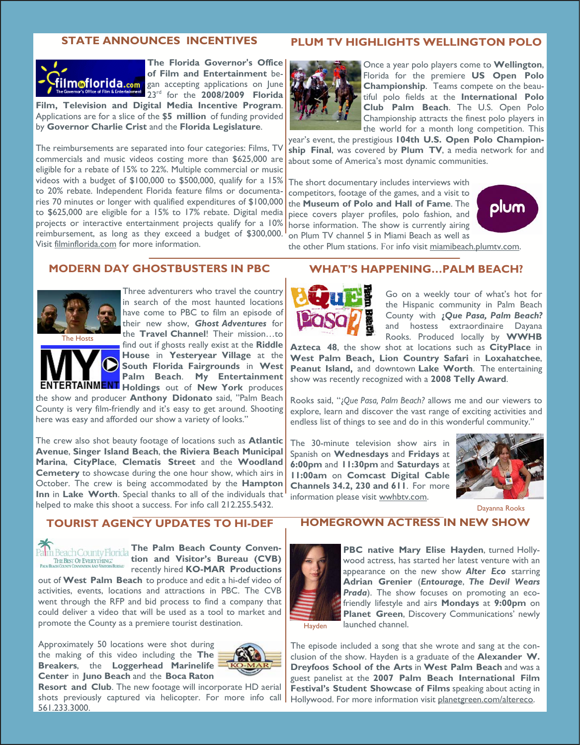#### **STATE ANNOUNCES INCENTIVES**



**The Florida Governor's Office of Film and Entertainment** began accepting applications on June 23rd for the **2008/2009 Florida** 

**Film, Television and Digital Media Incentive Program**. Applications are for a slice of the **\$5 million** of funding provided by **Governor Charlie Crist** and the **Florida Legislature**.

The reimbursements are separated into four categories: Films, TV commercials and music videos costing more than \$625,000 are eligible for a rebate of 15% to 22%. Multiple commercial or music videos with a budget of \$100,000 to \$500,000, qualify for a 15% to 20% rebate. Independent Florida feature films or documentaries 70 minutes or longer with qualified expenditures of \$100,000 to \$625,000 are eligible for a 15% to 17% rebate. Digital media projects or interactive entertainment projects qualify for a 10% reimbursement, as long as they exceed a budget of \$300,000. Visit filminflorida.com for more information.

#### **PLUM TV HIGHLIGHTS WELLINGTON POLO**



Once a year polo players come to **Wellington**, Florida for the premiere **US Open Polo Championship**. Teams compete on the beautiful polo fields at the **International Polo Club Palm Beach**. The U.S. Open Polo Championship attracts the finest polo players in the world for a month long competition. This

year's event, the prestigious **104th U.S. Open Polo Championship Final**, was covered by **Plum TV**, a media network for and about some of America's most dynamic communities.

The short documentary includes interviews with competitors, footage of the games, and a visit to the **Museum of Polo and Hall of Fame**. The piece covers player profiles, polo fashion, and horse information. The show is currently airing on Plum TV channel 5 in Miami Beach as well as



**MODERN DAY GHOSTBUSTERS IN PBC** 



Three adventurers who travel the country in search of the most haunted locations have come to PBC to film an episode of their new show, *Ghost Adventures* for the **Travel Channel**! Their mission…to find out if ghosts really exist at the **Riddle** 

**House** in **Yesteryear Village** at the **South Florida Fairgrounds** in **West Palm Beach**. **My Entertainment Holdings** out of **New York** produces

the show and producer **Anthony Didonato** said, "Palm Beach County is very film-friendly and it's easy to get around. Shooting here was easy and afforded our show a variety of looks."

The crew also shot beauty footage of locations such as **Atlantic Avenue**, **Singer Island Beach**, **the Riviera Beach Municipal Marina**, **CityPlace**, **Clematis Street** and the **Woodland Cemetery** to showcase during the one hour show, which airs in October. The crew is being accommodated by the **Hampton Inn** in **Lake Worth**. Special thanks to all of the individuals that helped to make this shoot a success. For info call 212.255.5432.

## **TOURIST AGENCY UPDATES TO HI-DEF**



**The Palm Beach County Convention and Visitor's Bureau (CVB)**  recently hired **KO-MAR Productions** 

out of **West Palm Beach** to produce and edit a hi-def video of activities, events, locations and attractions in PBC. The CVB went through the RFP and bid process to find a company that could deliver a video that will be used as a tool to market and promote the County as a premiere tourist destination.

Approximately 50 locations were shot during the making of this video including the **The Breakers**, the **Loggerhead Marinelife Center** in **Juno Beach** and the **Boca Raton** 



**Resort and Club**. The new footage will incorporate HD aerial shots previously captured via helicopter. For more info call 561.233.3000.

#### **WHAT'S HAPPENING…PALM BEACH?**

the other Plum stations. For info visit miamibeach.plumtv.com.



Go on a weekly tour of what's hot for the Hispanic community in Palm Beach County with **¿***Que Pasa, Palm Beach?* and hostess extraordinaire Dayana Rooks. Produced locally by **WWHB** 

**Azteca 48**, the show shot at locations such as **CityPlace** in **West Palm Beach, Lion Country Safari** in **Loxahatchee**, **Peanut Island,** and downtown **Lake Worth**. The entertaining show was recently recognized with a **2008 Telly Award**.

Rooks said, "¿*Que Pasa, Palm Beach?* allows me and our viewers to explore, learn and discover the vast range of exciting activities and endless list of things to see and do in this wonderful community."

The 30-minute television show airs in Spanish on **Wednesdays** and **Fridays** at **6:00pm** and **11:30pm** and **Saturdays** at **11:00am** on **Comcast Digital Cable Channels 34.2, 230 and 611**. For more information please visit wwhbtv.com.



Dayanna Rooks

### **HOMEGROWN ACTRESS IN NEW SHOW**



**PBC native Mary Elise Hayden**, turned Hollywood actress, has started her latest venture with an appearance on the new show *Alter Eco* starring **Adrian Grenier** (*Entourage*, *The Devil Wears Prada*). The show focuses on promoting an ecofriendly lifestyle and airs **Mondays** at **9:00pm** on **Planet Green**, Discovery Communications' newly launched channel.

Hayden

The episode included a song that she wrote and sang at the conclusion of the show. Hayden is a graduate of the **Alexander W. Dreyfoos School of the Arts** in **West Palm Beach** and was a guest panelist at the **2007 Palm Beach International Film Festival's Student Showcase of Films** speaking about acting in Hollywood. For more information visit planetgreen.com/altereco.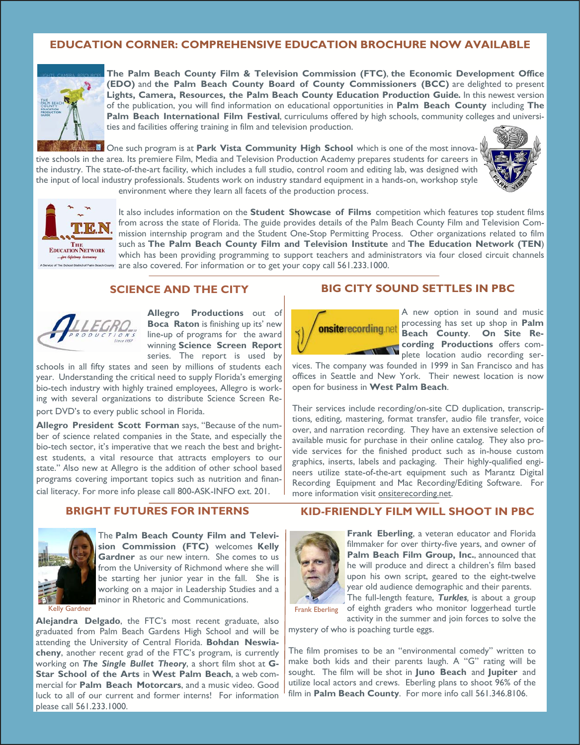# **EDUCATION CORNER: COMPREHENSIVE EDUCATION BROCHURE NOW AVAILABLE**



**The Palm Beach County Film & Television Commission (FTC)**, **the Economic Development Office (EDO)** and **the Palm Beach County Board of County Commissioners (BCC)** are delighted to present **Lights, Camera, Resources, the Palm Beach County Education Production Guide***.* In this newest version of the publication, you will find information on educational opportunities in **Palm Beach County** including **The Palm Beach International Film Festival**, curriculums offered by high schools, community colleges and universities and facilities offering training in film and television production.

One such program is at **Park Vista Community High School** which is one of the most innovative schools in the area. Its premiere Film, Media and Television Production Academy prepares students for careers in the industry. The state-of-the-art facility, which includes a full studio, control room and editing lab, was designed with the input of local industry professionals. Students work on industry standard equipment in a hands-on, workshop style environment where they learn all facets of the production process.





It also includes information on the **Student Showcase of Films** competition which features top student films from across the state of Florida. The guide provides details of the Palm Beach County Film and Television Commission internship program and the Student One-Stop Permitting Process. Other organizations related to film such as **The Palm Beach County Film and Television Institute** and **The Education Network (TEN**) which has been providing programming to support teachers and administrators via four closed circuit channels **••** are also covered. For information or to get your copy call 561.233.1000.

## **SCIENCE AND THE CITY**



**Allegro Productions** out of **Boca Raton** is finishing up its' new line-up of programs for the award winning **Science Screen Report** series. The report is used by

schools in all fifty states and seen by millions of students each year. Understanding the critical need to supply Florida's emerging bio-tech industry with highly trained employees, Allegro is working with several organizations to distribute Science Screen Re-

port DVD's to every public school in Florida.

**Allegro President Scott Forman** says, "Because of the number of science related companies in the State, and especially the bio-tech sector, it's imperative that we reach the best and brightest students, a vital resource that attracts employers to our state." *A*lso new at Allegro is the addition of other school based programs covering important topics such as nutrition and financial literacy. For more info please call 800-ASK-INFO ext. 201.

#### **BIG CITY SOUND SETTLES IN PBC**



A new option in sound and music processing has set up shop in **Palm Beach County**. **On Site Recording Productions** offers complete location audio recording ser-

vices. The company was founded in 1999 in San Francisco and has offices in Seattle and New York. Their newest location is now open for business in **West Palm Beach**.

Their services include recording/on-site CD duplication, transcriptions*,* editing, mastering, format transfer, audio file transfer*,* voice over, and narration recording. They have an extensive selection of available music for purchase in their online catalog.They also provide services for the finished product such as in-house custom graphics, inserts, labels and packaging. Their highly-qualified engineers utilize state-of-the-art equipment such as Marantz Digital Recording Equipment and Mac Recording/Editing Software. For more information visit onsiterecording.net.

## **BRIGHT FUTURES FOR INTERNS**



The **Palm Beach County Film and Television Commission (FTC)** welcomes **Kelly Gardner** as our new intern. She comes to us from the University of Richmond where she will be starting her junior year in the fall. She is working on a major in Leadership Studies and a minor in Rhetoric and Communications.

Kelly Gardner Frank Eberling (Section 1999) and the state of the state of the state of the state of the state of the state of the state of the state of the state of the state of the state of the state of the state of the s

**Alejandra Delgado**, the FTC's most recent graduate, also graduated from Palm Beach Gardens High School and will be attending the University of Central Florida. **Bohdan Neswiacheny**, another recent grad of the FTC's program, is currently working on *The Single Bullet Theory*, a short film shot at **G-Star School of the Arts** in **West Palm Beach**, a web commercial for **Palm Beach Motorcars**, and a music video. Good luck to all of our current and former interns! For information please call 561.233.1000.

## **KID-FRIENDLY FILM WILL SHOOT IN PBC**



**Frank Eberling**, a veteran educator and Florida filmmaker for over thirty-five years, and owner of **Palm Beach Film Group, Inc.**, announced that he will produce and direct a children's film based upon his own script, geared to the eight-twelve year old audience demographic and their parents. The full-length feature, *Turkles,* is about a group

of eighth graders who monitor loggerhead turtle activity in the summer and join forces to solve the

mystery of who is poaching turtle eggs.

The film promises to be an "environmental comedy" written to make both kids and their parents laugh. A "G" rating will be sought. The film will be shot in **Juno Beach** and **Jupiter** and utilize local actors and crews. Eberling plans to shoot 96% of the film in **Palm Beach County**. For more info call 561.346.8106.